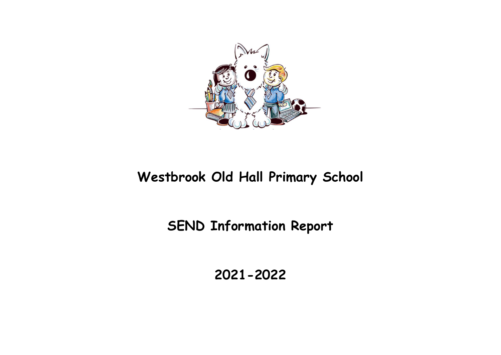

# Westbrook Old Hall Primary School

# SEND Information Report

2021-2022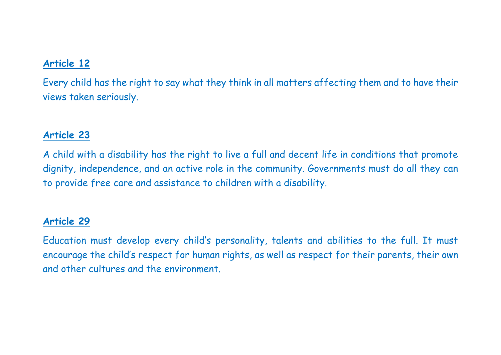## Article 12

Every child has the right to say what they think in all matters affecting them and to have their views taken seriously.

### Article 23

A child with a disability has the right to live a full and decent life in conditions that promote dignity, independence, and an active role in the community. Governments must do all they can to provide free care and assistance to children with a disability.

#### Article 29

Education must develop every child's personality, talents and abilities to the full. It must encourage the child's respect for human rights, as well as respect for their parents, their own and other cultures and the environment.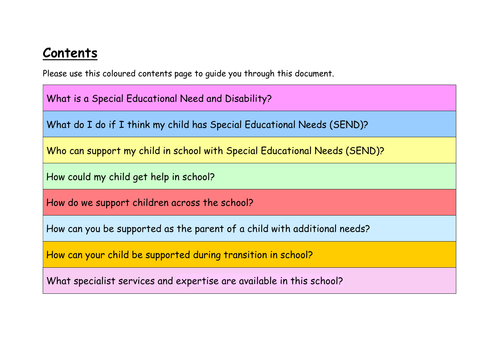# Contents

Please use this coloured contents page to guide you through this document.

What is a Special Educational Need and Disability?

What do I do if I think my child has Special Educational Needs (SEND)?

Who can support my child in school with Special Educational Needs (SEND)?

How could my child get help in school?

How do we support children across the school?

How can you be supported as the parent of a child with additional needs?

How can your child be supported during transition in school?

What specialist services and expertise are available in this school?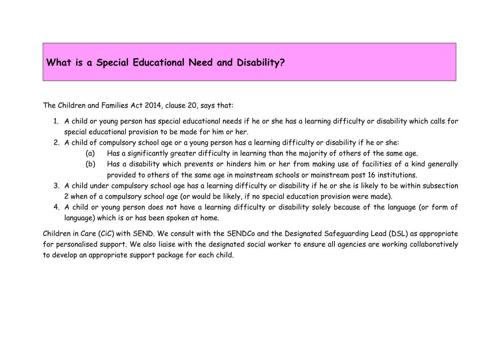### What is a Special Educational Need and Disability?

The Children and Families Act 2014, clause 20, says that:

- 1. A child or young person has special educational needs if he or she has a learning difficulty or disability which calls for special educational provision to be made for him or her.
- 2. A child of compulsory school age or a young person has a learning difficulty or disability if he or she:
	- (a) Has a significantly greater difficulty in learning than the majority of others of the same age.
	- (b) Has a disability which prevents or hinders him or her from making use of facilities of a kind generally provided to others of the same age in mainstream schools or mainstream post 16 institutions.
- 3. A child under compulsory school age has a learning difficulty or disability if he or she is likely to be within subsection 2 when of a compulsory school age (or would be likely, if no special education provision were made).
- 4. A child or young person does not have a learning difficulty or disability solely because of the language (or form of language) which is or has been spoken at home.

Children in Care (CiC) with SEND. We consult with the SENDCo and the Designated Safeguarding Lead (DSL) as appropriate for personalised support. We also liaise with the designated social worker to ensure all agencies are working collaboratively to develop an appropriate support package for each child.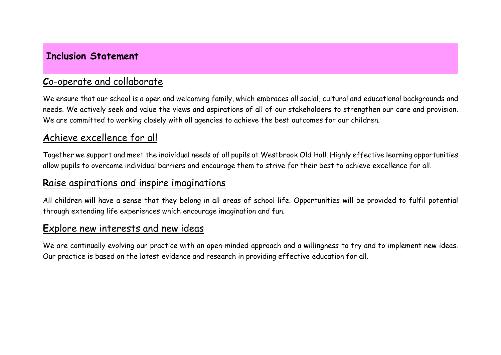### Inclusion Statement

## Co-operate and collaborate

We ensure that our school is a open and welcoming family, which embraces all social, cultural and educational backgrounds and needs. We actively seek and value the views and aspirations of all of our stakeholders to strengthen our care and provision. We are committed to working closely with all agencies to achieve the best outcomes for our children.

## Achieve excellence for all

Together we support and meet the individual needs of all pupils at Westbrook Old Hall. Highly effective learning opportunities allow pupils to overcome individual barriers and encourage them to strive for their best to achieve excellence for all.

### Raise aspirations and inspire imaginations

All children will have a sense that they belong in all areas of school life. Opportunities will be provided to fulfil potential through extending life experiences which encourage imagination and fun.

## Explore new interests and new ideas

We are continually evolving our practice with an open-minded approach and a willingness to try and to implement new ideas. Our practice is based on the latest evidence and research in providing effective education for all.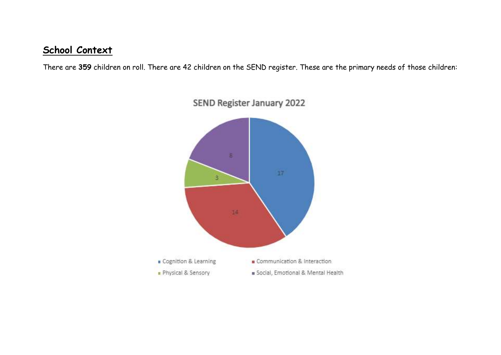## School Context

There are 359 children on roll. There are 42 children on the SEND register. These are the primary needs of those children:

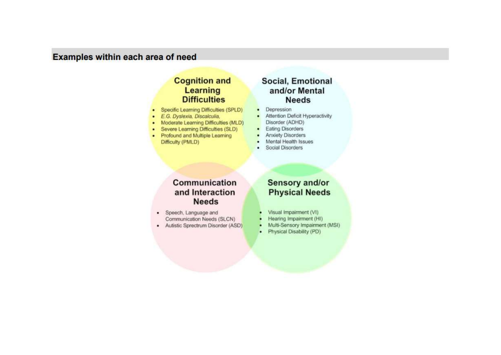### Examples within each area of need

#### **Cognition and** Learning **Difficulties**

- Specific Learning Difficulties (SPLD)
- E.G. Dyslexia, Discalculia,
- Moderate Learning Difficulties (MLD)
- Severe Learning Difficulties (SLD)
- Profound and Multiple Learning Difficulty (PMLD)

#### **Social, Emotional** and/or Mental **Needs**

- Depression  $\bullet$
- Attention Deficit Hyperactivity ٠ Disorder (ADHD)
- **Eating Disorders**  $\bullet$
- **Anxiety Disorders**
- Mental Health Issues
- **Social Disorders** .

#### Communication and Interaction **Needs**

- · Speech, Language and Communication Needs (SLCN)
- · Autistic Sprectrum Disorder (ASD)

#### Sensory and/or **Physical Needs**

- Visual Impairment (VI)
- Hearing Impairment (HI)
- Multi-Sensory Impairment (MSI) ٠
- Physical Disability (PD) п.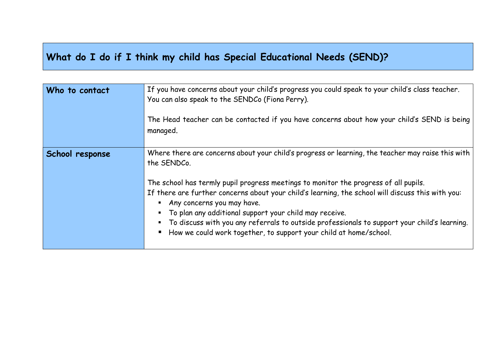## What do I do if I think my child has Special Educational Needs (SEND)?

| Who to contact  | If you have concerns about your child's progress you could speak to your child's class teacher.<br>You can also speak to the SENDCo (Fiona Perry).<br>The Head teacher can be contacted if you have concerns about how your child's SEND is being<br>managed.                                                                                                                                                                                                                                                                                                              |
|-----------------|----------------------------------------------------------------------------------------------------------------------------------------------------------------------------------------------------------------------------------------------------------------------------------------------------------------------------------------------------------------------------------------------------------------------------------------------------------------------------------------------------------------------------------------------------------------------------|
| School response | Where there are concerns about your child's progress or learning, the teacher may raise this with<br>the SENDCo.<br>The school has termly pupil progress meetings to monitor the progress of all pupils.<br>If there are further concerns about your child's learning, the school will discuss this with you:<br>Any concerns you may have.<br>To plan any additional support your child may receive.<br>To discuss with you any referrals to outside professionals to support your child's learning.<br>How we could work together, to support your child at home/school. |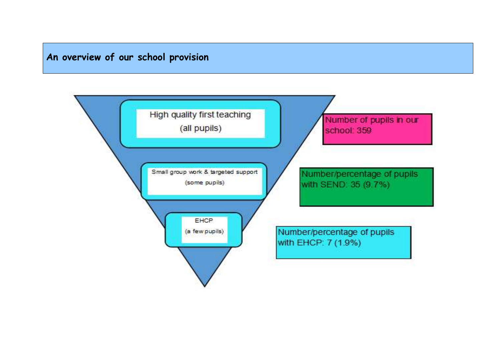## An overview of our school provision

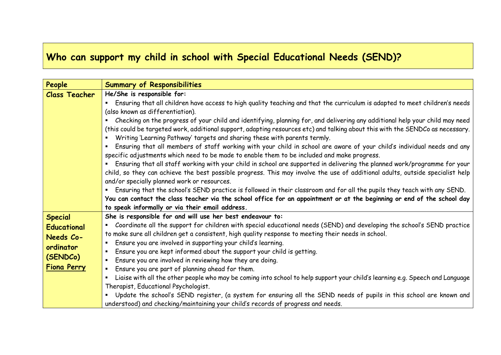## Who can support my child in school with Special Educational Needs (SEND)?

| People               | <b>Summary of Responsibilities</b>                                                                                                 |
|----------------------|------------------------------------------------------------------------------------------------------------------------------------|
| <b>Class Teacher</b> | He/She is responsible for:                                                                                                         |
|                      | Ensuring that all children have access to high quality teaching and that the curriculum is adapted to meet children's needs        |
|                      | (also known as differentiation).                                                                                                   |
|                      | Checking on the progress of your child and identifying, planning for, and delivering any additional help your child may need       |
|                      | (this could be targeted work, additional support, adapting resources etc) and talking about this with the SENDCo as necessary.     |
|                      | Writing 'Learning Pathway' targets and sharing these with parents termly.                                                          |
|                      | Ensuring that all members of staff working with your child in school are aware of your child's individual needs and any            |
|                      | specific adjustments which need to be made to enable them to be included and make progress.                                        |
|                      | Ensuring that all staff working with your child in school are supported in delivering the planned work/programme for your          |
|                      | child, so they can achieve the best possible progress. This may involve the use of additional adults, outside specialist help      |
|                      | and/or specially planned work or resources.                                                                                        |
|                      | Ensuring that the school's SEND practice is followed in their classroom and for all the pupils they teach with any SEND.           |
|                      | You can contact the class teacher via the school office for an appointment or at the beginning or end of the school day            |
|                      | to speak informally or via their email address.                                                                                    |
| <b>Special</b>       | She is responsible for and will use her best endeavour to:                                                                         |
| <b>Educational</b>   | Coordinate all the support for children with special educational needs (SEND) and developing the school's SEND practice            |
| Needs Co-            | to make sure all children get a consistent, high quality response to meeting their needs in school.                                |
| ordinator            | Ensure you are involved in supporting your child's learning.                                                                       |
|                      | Ensure you are kept informed about the support your child is getting.                                                              |
| (SENDCo)             | Ensure you are involved in reviewing how they are doing.<br>٠                                                                      |
| <b>Fiona Perry</b>   | Ensure you are part of planning ahead for them.<br>٠                                                                               |
|                      | Liaise with all the other people who may be coming into school to help support your child's learning e.g. Speech and Language<br>٠ |
|                      | Therapist, Educational Psychologist.                                                                                               |
|                      | • Update the school's SEND register, (a system for ensuring all the SEND needs of pupils in this school are known and              |
|                      | understood) and checking/maintaining your child's records of progress and needs.                                                   |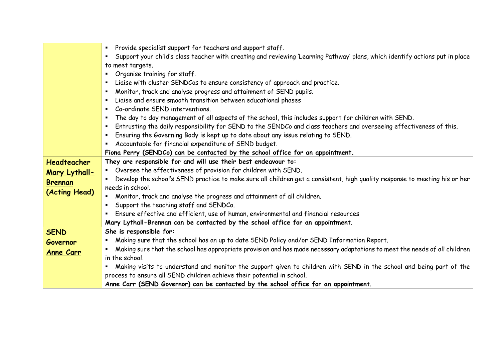|                  | Provide specialist support for teachers and support staff.                                                                        |
|------------------|-----------------------------------------------------------------------------------------------------------------------------------|
|                  | Support your child's class teacher with creating and reviewing 'Learning Pathway' plans, which identify actions put in place<br>٠ |
|                  | to meet targets.                                                                                                                  |
|                  | Organise training for staff.<br>٠                                                                                                 |
|                  | Liaise with cluster SENDCos to ensure consistency of approach and practice.                                                       |
|                  | Monitor, track and analyse progress and attainment of SEND pupils.<br>п                                                           |
|                  | Liaise and ensure smooth transition between educational phases<br>٠                                                               |
|                  | Co-ordinate SEND interventions.<br>٠                                                                                              |
|                  | The day to day management of all aspects of the school, this includes support for children with SEND.<br>٠                        |
|                  | Entrusting the daily responsibility for SEND to the SENDCo and class teachers and overseeing effectiveness of this.               |
|                  | Ensuring the Governing Body is kept up to date about any issue relating to SEND.<br>٠                                             |
|                  | Accountable for financial expenditure of SEND budget.                                                                             |
|                  | Fiona Perry (SENDCo) can be contacted by the school office for an appointment.                                                    |
| Headteacher      | They are responsible for and will use their best endeavour to:                                                                    |
| Mary Lythall-    | Oversee the effectiveness of provision for children with SEND.                                                                    |
| <b>Brennan</b>   | Develop the school's SEND practice to make sure all children get a consistent, high quality response to meeting his or her        |
| (Acting Head)    | needs in school.                                                                                                                  |
|                  | Monitor, track and analyse the progress and attainment of all children.                                                           |
|                  | Support the teaching staff and SENDCo.                                                                                            |
|                  | Ensure effective and efficient, use of human, environmental and financial resources                                               |
|                  | Mary Lythall-Brennan can be contacted by the school office for an appointment.                                                    |
| <b>SEND</b>      | She is responsible for:                                                                                                           |
| Governor         | Making sure that the school has an up to date SEND Policy and/or SEND Information Report.                                         |
| <u>Anne Carr</u> | Making sure that the school has appropriate provision and has made necessary adaptations to meet the needs of all children        |
|                  | in the school.                                                                                                                    |
|                  | Making visits to understand and monitor the support given to children with SEND in the school and being part of the               |
|                  | process to ensure all SEND children achieve their potential in school.                                                            |
|                  | Anne Carr (SEND Governor) can be contacted by the school office for an appointment.                                               |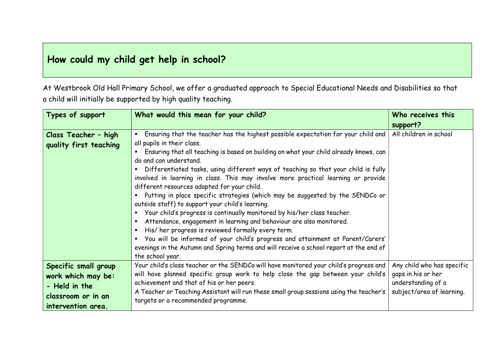## How could my child get help in school?

At Westbrook Old Hall Primary School, we offer a graduated approach to Special Educational Needs and Disabilities so that a child will initially be supported by high quality teaching.

| Types of support                                                                                        | What would this mean for your child?                                                                                                                                                                                                                                                                                                                                                                                                                                                                                                                                                                                                                                                                                                                                                                                                                                                                                                                                                                                            | Who receives this<br>support?                                                                       |
|---------------------------------------------------------------------------------------------------------|---------------------------------------------------------------------------------------------------------------------------------------------------------------------------------------------------------------------------------------------------------------------------------------------------------------------------------------------------------------------------------------------------------------------------------------------------------------------------------------------------------------------------------------------------------------------------------------------------------------------------------------------------------------------------------------------------------------------------------------------------------------------------------------------------------------------------------------------------------------------------------------------------------------------------------------------------------------------------------------------------------------------------------|-----------------------------------------------------------------------------------------------------|
| Class Teacher - high<br>quality first teaching                                                          | Ensuring that the teacher has the highest possible expectation for your child and<br>all pupils in their class.<br>Ensuring that all teaching is based on building on what your child already knows, can<br>do and can understand.<br>Differentiated tasks, using different ways of teaching so that your child is fully<br>involved in learning in class. This may involve more practical learning or provide<br>different resources adapted for your child.<br>Putting in place specific strategies (which may be suggested by the SENDCo or<br>outside staff) to support your child's learning.<br>" Your child's progress is continually monitored by his/her class teacher.<br>Attendance, engagement in learning and behaviour are also monitored.<br>$\blacksquare$<br>His/her progress is reviewed formally every term.<br>You will be informed of your child's progress and attainment at Parent/Carers'<br>evenings in the Autumn and Spring terms and will receive a school report at the end of<br>the school year. | All children in school                                                                              |
| Specific small group<br>work which may be:<br>- Held in the<br>classroom or in an<br>intervention area. | Your child's class teacher or the SENDCo will have monitored your child's progress and<br>will have planned specific group work to help close the gap between your child's<br>achievement and that of his or her peers.<br>A Teacher or Teaching Assistant will run these small group sessions using the teacher's<br>targets or a recommended programme.                                                                                                                                                                                                                                                                                                                                                                                                                                                                                                                                                                                                                                                                       | Any child who has specific<br>gaps in his or her<br>understanding of a<br>subject/area of learning. |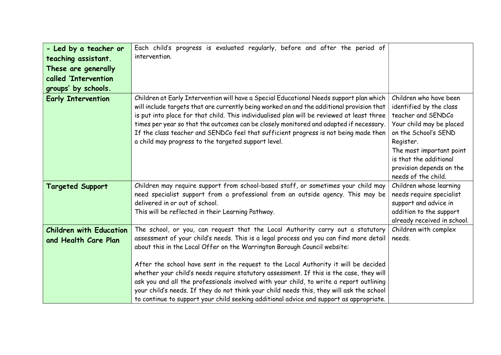|                                                        | Each child's progress is evaluated regularly, before and after the period of                                                                                                                                                                                                                                                                                                                                                                                                                                                                                                                                                                                                                                             |                                                                                                                                                                                                                                                   |
|--------------------------------------------------------|--------------------------------------------------------------------------------------------------------------------------------------------------------------------------------------------------------------------------------------------------------------------------------------------------------------------------------------------------------------------------------------------------------------------------------------------------------------------------------------------------------------------------------------------------------------------------------------------------------------------------------------------------------------------------------------------------------------------------|---------------------------------------------------------------------------------------------------------------------------------------------------------------------------------------------------------------------------------------------------|
| - Led by a teacher or                                  | intervention.                                                                                                                                                                                                                                                                                                                                                                                                                                                                                                                                                                                                                                                                                                            |                                                                                                                                                                                                                                                   |
| teaching assistant.                                    |                                                                                                                                                                                                                                                                                                                                                                                                                                                                                                                                                                                                                                                                                                                          |                                                                                                                                                                                                                                                   |
| These are generally                                    |                                                                                                                                                                                                                                                                                                                                                                                                                                                                                                                                                                                                                                                                                                                          |                                                                                                                                                                                                                                                   |
| called 'Intervention                                   |                                                                                                                                                                                                                                                                                                                                                                                                                                                                                                                                                                                                                                                                                                                          |                                                                                                                                                                                                                                                   |
| groups' by schools.                                    |                                                                                                                                                                                                                                                                                                                                                                                                                                                                                                                                                                                                                                                                                                                          |                                                                                                                                                                                                                                                   |
| <b>Early Intervention</b>                              | Children at Early Intervention will have a Special Educational Needs support plan which<br>will include targets that are currently being worked on and the additional provision that<br>is put into place for that child. This individualised plan will be reviewed at least three<br>times per year so that the outcomes can be closely monitored and adapted if necessary.<br>If the class teacher and SENDCo feel that sufficient progress is not being made then<br>a child may progress to the targeted support level.                                                                                                                                                                                              | Children who have been<br>identified by the class<br>teacher and SENDCo<br>Your child may be placed<br>on the School's SEND<br>Register.<br>The most important point<br>is that the additional<br>provision depends on the<br>needs of the child. |
| <b>Targeted Support</b>                                | Children may require support from school-based staff, or sometimes your child may<br>need specialist support from a professional from an outside agency. This may be<br>delivered in or out of school.<br>This will be reflected in their Learning Pathway.                                                                                                                                                                                                                                                                                                                                                                                                                                                              | Children whose learning<br>needs require specialist<br>support and advice in<br>addition to the support<br>already received in school.                                                                                                            |
| <b>Children with Education</b><br>and Health Care Plan | The school, or you, can request that the Local Authority carry out a statutory<br>assessment of your child's needs. This is a legal process and you can find more detail<br>about this in the Local Offer on the Warrington Borough Council website:<br>After the school have sent in the request to the Local Authority it will be decided<br>whether your child's needs require statutory assessment. If this is the case, they will<br>ask you and all the professionals involved with your child, to write a report outlining<br>your child's needs. If they do not think your child needs this, they will ask the school<br>to continue to support your child seeking additional advice and support as appropriate. | Children with complex<br>needs.                                                                                                                                                                                                                   |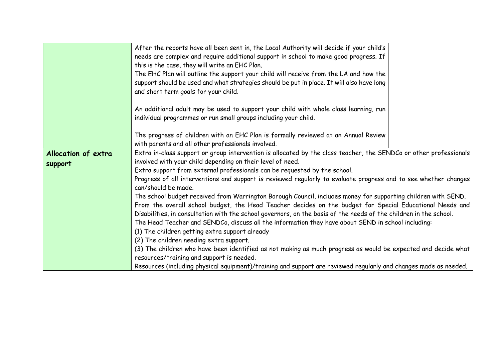|                     | After the reports have all been sent in, the Local Authority will decide if your child's                          |
|---------------------|-------------------------------------------------------------------------------------------------------------------|
|                     | needs are complex and require additional support in school to make good progress. If                              |
|                     | this is the case, they will write an EHC Plan.                                                                    |
|                     | The EHC Plan will outline the support your child will receive from the LA and how the                             |
|                     | support should be used and what strategies should be put in place. It will also have long                         |
|                     | and short term goals for your child.                                                                              |
|                     |                                                                                                                   |
|                     | An additional adult may be used to support your child with whole class learning, run                              |
|                     | individual programmes or run small groups including your child.                                                   |
|                     |                                                                                                                   |
|                     | The progress of children with an EHC Plan is formally reviewed at an Annual Review                                |
|                     | with parents and all other professionals involved.                                                                |
| Allocation of extra | Extra in-class support or group intervention is allocated by the class teacher, the SENDCo or other professionals |
| support             | involved with your child depending on their level of need.                                                        |
|                     | Extra support from external professionals can be requested by the school.                                         |
|                     | Progress of all interventions and support is reviewed regularly to evaluate progress and to see whether changes   |
|                     | can/should be made.                                                                                               |
|                     | The school budget received from Warrington Borough Council, includes money for supporting children with SEND.     |
|                     | From the overall school budget, the Head Teacher decides on the budget for Special Educational Needs and          |
|                     | Disabilities, in consultation with the school governors, on the basis of the needs of the children in the school. |
|                     | The Head Teacher and SENDCo, discuss all the information they have about SEND in school including:                |
|                     | (1) The children getting extra support already                                                                    |
|                     | (2) The children needing extra support.                                                                           |
|                     | (3) The children who have been identified as not making as much progress as would be expected and decide what     |
|                     | resources/training and support is needed.                                                                         |
|                     | Resources (including physical equipment)/training and support are reviewed regularly and changes made as needed.  |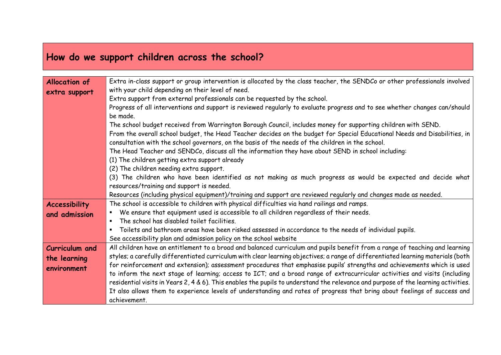## How do we support children across the school?

| <b>Allocation of</b>  | Extra in-class support or group intervention is allocated by the class teacher, the SENDCo or other professionals involved         |
|-----------------------|------------------------------------------------------------------------------------------------------------------------------------|
| extra support         | with your child depending on their level of need.                                                                                  |
|                       | Extra support from external professionals can be requested by the school.                                                          |
|                       | Progress of all interventions and support is reviewed regularly to evaluate progress and to see whether changes can/should         |
|                       | be made.                                                                                                                           |
|                       | The school budget received from Warrington Borough Council, includes money for supporting children with SEND.                      |
|                       | From the overall school budget, the Head Teacher decides on the budget for Special Educational Needs and Disabilities, in          |
|                       | consultation with the school governors, on the basis of the needs of the children in the school.                                   |
|                       | The Head Teacher and SENDCo, discuss all the information they have about SEND in school including:                                 |
|                       | (1) The children getting extra support already                                                                                     |
|                       | (2) The children needing extra support.                                                                                            |
|                       | (3) The children who have been identified as not making as much progress as would be expected and decide what                      |
|                       | resources/training and support is needed.                                                                                          |
|                       | Resources (including physical equipment)/training and support are reviewed regularly and changes made as needed.                   |
| <b>Accessibility</b>  | The school is accessible to children with physical difficulties via hand railings and ramps.                                       |
| and admission         | We ensure that equipment used is accessible to all children regardless of their needs.                                             |
|                       | The school has disabled toilet facilities.                                                                                         |
|                       | Toilets and bathroom areas have been risked assessed in accordance to the needs of individual pupils.                              |
|                       | See accessibility plan and admission policy on the school website                                                                  |
| <b>Curriculum and</b> | All children have an entitlement to a broad and balanced curriculum and pupils benefit from a range of teaching and learning       |
| the learning          | styles; a carefully differentiated curriculum with clear learning objectives; a range of differentiated learning materials (both   |
| environment           | for reinforcement and extension); assessment procedures that emphasise pupils' strengths and achievements which is used            |
|                       | to inform the next stage of learning; access to ICT; and a broad range of extracurricular activities and visits (including         |
|                       | residential visits in Years 2, 4 & 6). This enables the pupils to understand the relevance and purpose of the learning activities. |
|                       | It also allows them to experience levels of understanding and rates of progress that bring about feelings of success and           |
|                       | achievement.                                                                                                                       |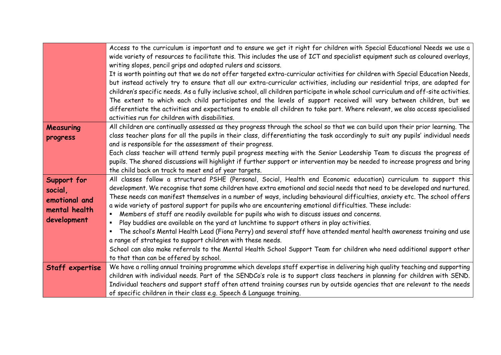|                 | Access to the curriculum is important and to ensure we get it right for children with Special Educational Needs we use a             |
|-----------------|--------------------------------------------------------------------------------------------------------------------------------------|
|                 | wide variety of resources to facilitate this. This includes the use of ICT and specialist equipment such as coloured overlays,       |
|                 | writing slopes, pencil grips and adapted rulers and scissors.                                                                        |
|                 | It is worth pointing out that we do not offer targeted extra-curricular activities for children with Special Education Needs,        |
|                 | but instead actively try to ensure that all our extra-curricular activities, including our residential trips, are adapted for        |
|                 | children's specific needs. As a fully inclusive school, all children participate in whole school curriculum and off-site activities. |
|                 | The extent to which each child participates and the levels of support received will vary between children, but we                    |
|                 | differentiate the activities and expectations to enable all children to take part. Where relevant, we also access specialised        |
|                 | activities run for children with disabilities.                                                                                       |
| Measuring       | All children are continually assessed as they progress through the school so that we can build upon their prior learning. The        |
| progress        | class teacher plans for all the pupils in their class, differentiating the task accordingly to suit any pupils' individual needs     |
|                 | and is responsible for the assessment of their progress.                                                                             |
|                 | Each class teacher will attend termly pupil progress meeting with the Senior Leadership Team to discuss the progress of              |
|                 | pupils. The shared discussions will highlight if further support or intervention may be needed to increase progress and bring        |
|                 | the child back on track to meet end of year targets.                                                                                 |
| Support for     | All classes follow a structured PSHE (Personal, Social, Health end Economic education) curriculum to support this                    |
| social,         | development. We recognise that some children have extra emotional and social needs that need to be developed and nurtured.           |
| emotional and   | These needs can manifest themselves in a number of ways, including behavioural difficulties, anxiety etc. The school offers          |
| mental health   | a wide variety of pastoral support for pupils who are encountering emotional difficulties. These include:                            |
| development     | Members of staff are readily available for pupils who wish to discuss issues and concerns.                                           |
|                 | Play buddies are available on the yard at lunchtime to support others in play activities.                                            |
|                 | The school's Mental Health Lead (Fiona Perry) and several staff have attended mental health awareness training and use               |
|                 | a range of strategies to support children with these needs.                                                                          |
|                 | School can also make referrals to the Mental Health School Support Team for children who need additional support other               |
|                 | to that than can be offered by school.                                                                                               |
| Staff expertise | We have a rolling annual training programme which develops staff expertise in delivering high quality teaching and supporting        |
|                 | children with individual needs. Part of the SENDCo's role is to support class teachers in planning for children with SEND.           |
|                 | Individual teachers and support staff often attend training courses run by outside agencies that are relevant to the needs           |
|                 | of specific children in their class e.g. Speech & Language training.                                                                 |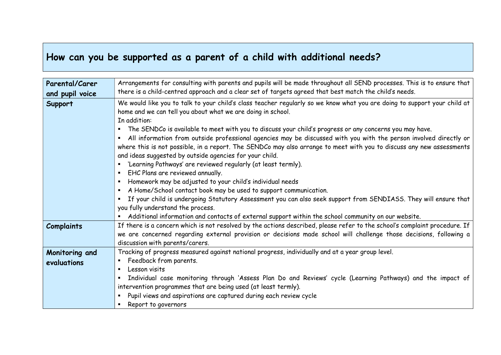## How can you be supported as a parent of a child with additional needs?

| Parental/Carer    | Arrangements for consulting with parents and pupils will be made throughout all SEND processes. This is to ensure that                                                                                                                                                                                                                                                      |
|-------------------|-----------------------------------------------------------------------------------------------------------------------------------------------------------------------------------------------------------------------------------------------------------------------------------------------------------------------------------------------------------------------------|
| and pupil voice   | there is a child-centred approach and a clear set of targets agreed that best match the child's needs.                                                                                                                                                                                                                                                                      |
| <b>Support</b>    | We would like you to talk to your child's class teacher regularly so we know what you are doing to support your child at<br>home and we can tell you about what we are doing in school.<br>In addition:<br>The SENDCo is available to meet with you to discuss your child's progress or any concerns you may have.                                                          |
|                   | All information from outside professional agencies may be discussed with you with the person involved directly or<br>л.<br>where this is not possible, in a report. The SENDCo may also arrange to meet with you to discuss any new assessments<br>and ideas suggested by outside agencies for your child.<br>'Learning Pathways' are reviewed regularly (at least termly). |
|                   | EHC Plans are reviewed annually.<br>$\blacksquare$                                                                                                                                                                                                                                                                                                                          |
|                   | Homework may be adjusted to your child's individual needs<br>$\blacksquare$                                                                                                                                                                                                                                                                                                 |
|                   | A Home/School contact book may be used to support communication.                                                                                                                                                                                                                                                                                                            |
|                   | If your child is undergoing Statutory Assessment you can also seek support from SENDIASS. They will ensure that                                                                                                                                                                                                                                                             |
|                   | you fully understand the process.                                                                                                                                                                                                                                                                                                                                           |
|                   | Additional information and contacts of external support within the school community on our website.                                                                                                                                                                                                                                                                         |
| <b>Complaints</b> | If there is a concern which is not resolved by the actions described, please refer to the school's complaint procedure. If<br>we are concerned regarding external provision or decisions made school will challenge those decisions, following a<br>discussion with parents/carers.                                                                                         |
| Monitoring and    | Tracking of progress measured against national progress, individually and at a year group level.                                                                                                                                                                                                                                                                            |
| evaluations       | Feedback from parents.                                                                                                                                                                                                                                                                                                                                                      |
|                   | Lesson visits                                                                                                                                                                                                                                                                                                                                                               |
|                   | Individual case monitoring through 'Assess Plan Do and Reviews' cycle (Learning Pathways) and the impact of                                                                                                                                                                                                                                                                 |
|                   | intervention programmes that are being used (at least termly).                                                                                                                                                                                                                                                                                                              |
|                   | Pupil views and aspirations are captured during each review cycle                                                                                                                                                                                                                                                                                                           |
|                   | Report to governors                                                                                                                                                                                                                                                                                                                                                         |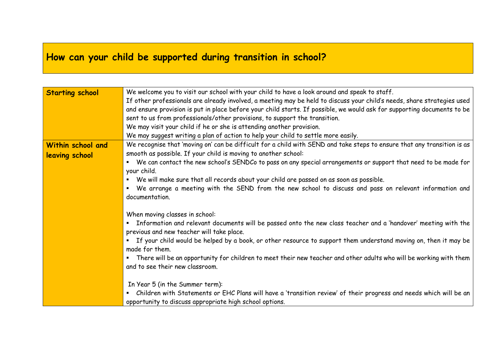## How can your child be supported during transition in school?

| <b>Starting school</b> | We welcome you to visit our school with your child to have a look around and speak to staff.                                                                |
|------------------------|-------------------------------------------------------------------------------------------------------------------------------------------------------------|
|                        | If other professionals are already involved, a meeting may be held to discuss your child's needs, share strategies used                                     |
|                        | and ensure provision is put in place before your child starts. If possible, we would ask for supporting documents to be                                     |
|                        | sent to us from professionals/other provisions, to support the transition.                                                                                  |
|                        | We may visit your child if he or she is attending another provision.                                                                                        |
|                        | We may suggest writing a plan of action to help your child to settle more easily.                                                                           |
| Within school and      | We recognise that 'moving on' can be difficult for a child with SEND and take steps to ensure that any transition is as                                     |
| leaving school         | smooth as possible. If your child is moving to another school:                                                                                              |
|                        | We can contact the new school's SENDCo to pass on any special arrangements or support that need to be made for                                              |
|                        | your child.                                                                                                                                                 |
|                        | We will make sure that all records about your child are passed on as soon as possible.                                                                      |
|                        | We arrange a meeting with the SEND from the new school to discuss and pass on relevant information and<br>٠                                                 |
|                        | documentation.                                                                                                                                              |
|                        |                                                                                                                                                             |
|                        | When moving classes in school:                                                                                                                              |
|                        | Information and relevant documents will be passed onto the new class teacher and a 'handover' meeting with the<br>previous and new teacher will take place. |
|                        | If your child would be helped by a book, or other resource to support them understand moving on, then it may be<br>٠                                        |
|                        | made for them.                                                                                                                                              |
|                        | There will be an opportunity for children to meet their new teacher and other adults who will be working with them<br>٠                                     |
|                        | and to see their new classroom.                                                                                                                             |
|                        |                                                                                                                                                             |
|                        | In Year 5 (in the Summer term):                                                                                                                             |
|                        | Children with Statements or EHC Plans will have a 'transition review' of their progress and needs which will be an<br>٠                                     |
|                        | opportunity to discuss appropriate high school options.                                                                                                     |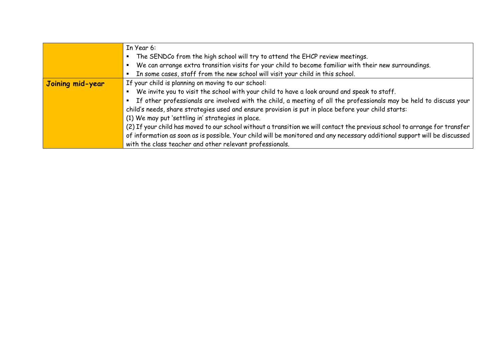|                  | In Year 6:                                                                                                                 |
|------------------|----------------------------------------------------------------------------------------------------------------------------|
|                  | The SENDCo from the high school will try to attend the EHCP review meetings.                                               |
|                  | We can arrange extra transition visits for your child to become familiar with their new surroundings.                      |
|                  | In some cases, staff from the new school will visit your child in this school.                                             |
| Joining mid-year | If your child is planning on moving to our school:                                                                         |
|                  | We invite you to visit the school with your child to have a look around and speak to staff.                                |
|                  | If other professionals are involved with the child, a meeting of all the professionals may be held to discuss your         |
|                  | child's needs, share strategies used and ensure provision is put in place before your child starts:                        |
|                  | (1) We may put 'settling in' strategies in place.                                                                          |
|                  | (2) If your child has moved to our school without a transition we will contact the previous school to arrange for transfer |
|                  | of information as soon as is possible. Your child will be monitored and any necessary additional support will be discussed |
|                  | with the class teacher and other relevant professionals.                                                                   |